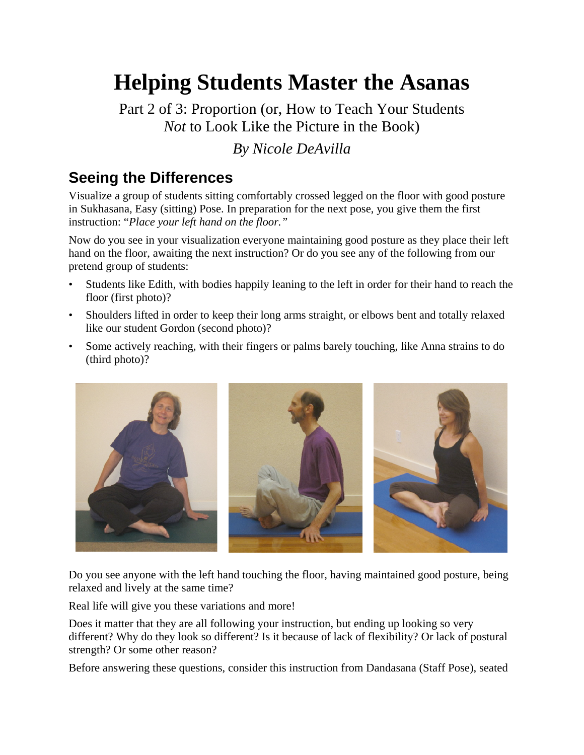# **Helping Students Master the Asanas**

Part 2 of 3: Proportion (or, How to Teach Your Students *Not* to Look Like the Picture in the Book)

### *By Nicole DeAvilla*

# **Seeing the Differences**

Visualize a group of students sitting comfortably crossed legged on the floor with good posture in Sukhasana, Easy (sitting) Pose. In preparation for the next pose, you give them the first instruction: "*Place your left hand on the floor."*

Now do you see in your visualization everyone maintaining good posture as they place their left hand on the floor, awaiting the next instruction? Or do you see any of the following from our pretend group of students:

- Students like Edith, with bodies happily leaning to the left in order for their hand to reach the floor (first photo)?
- Shoulders lifted in order to keep their long arms straight, or elbows bent and totally relaxed like our student Gordon (second photo)?
- Some actively reaching, with their fingers or palms barely touching, like Anna strains to do (third photo)?



Do you see anyone with the left hand touching the floor, having maintained good posture, being relaxed and lively at the same time?

Real life will give you these variations and more!

Does it matter that they are all following your instruction, but ending up looking so very different? Why do they look so different? Is it because of lack of flexibility? Or lack of postural strength? Or some other reason?

Before answering these questions, consider this instruction from Dandasana (Staff Pose), seated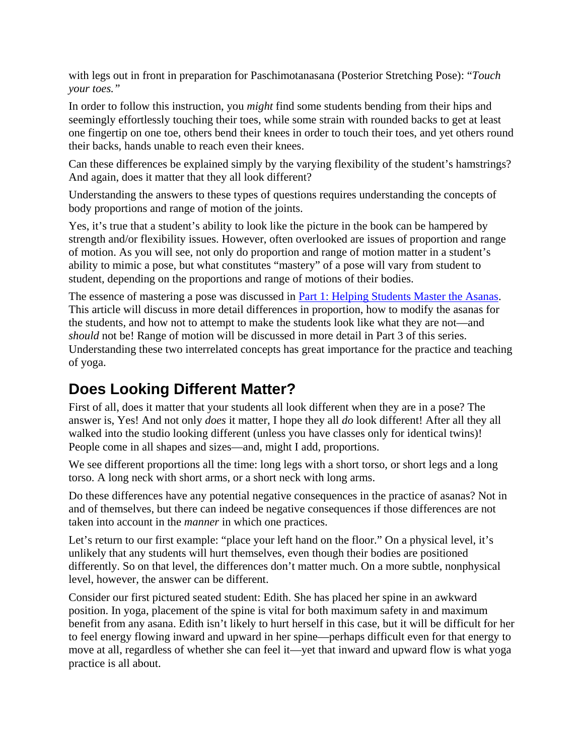with legs out in front in preparation for Paschimotanasana (Posterior Stretching Pose): "*Touch your toes."* 

In order to follow this instruction, you *might* find some students bending from their hips and seemingly effortlessly touching their toes, while some strain with rounded backs to get at least one fingertip on one toe, others bend their knees in order to touch their toes, and yet others round their backs, hands unable to reach even their knees.

Can these differences be explained simply by the varying flexibility of the student's hamstrings? And again, does it matter that they all look different?

Understanding the answers to these types of questions requires understanding the concepts of body proportions and range of motion of the joints.

Yes, it's true that a student's ability to look like the picture in the book can be hampered by strength and/or flexibility issues. However, often overlooked are issues of proportion and range of motion. As you will see, not only do proportion and range of motion matter in a student's ability to mimic a pose, but what constitutes "mastery" of a pose will vary from student to student, depending on the proportions and range of motions of their bodies.

The essence of mastering a pose was discussed in [Part 1: Helping Students Master the Asanas.](http://www.expandinglight.org/free/yoga-teacher/articles/general/helping-students-master-the-asanas.asp) This article will discuss in more detail differences in proportion, how to modify the asanas for the students, and how not to attempt to make the students look like what they are not—and *should* not be! Range of motion will be discussed in more detail in Part 3 of this series. Understanding these two interrelated concepts has great importance for the practice and teaching of yoga.

# **Does Looking Different Matter?**

First of all, does it matter that your students all look different when they are in a pose? The answer is, Yes! And not only *does* it matter, I hope they all *do* look different! After all they all walked into the studio looking different (unless you have classes only for identical twins)! People come in all shapes and sizes—and, might I add, proportions.

We see different proportions all the time: long legs with a short torso, or short legs and a long torso. A long neck with short arms, or a short neck with long arms.

Do these differences have any potential negative consequences in the practice of asanas? Not in and of themselves, but there can indeed be negative consequences if those differences are not taken into account in the *manner* in which one practices.

Let's return to our first example: "place your left hand on the floor." On a physical level, it's unlikely that any students will hurt themselves, even though their bodies are positioned differently. So on that level, the differences don't matter much. On a more subtle, nonphysical level, however, the answer can be different.

Consider our first pictured seated student: Edith. She has placed her spine in an awkward position. In yoga, placement of the spine is vital for both maximum safety in and maximum benefit from any asana. Edith isn't likely to hurt herself in this case, but it will be difficult for her to feel energy flowing inward and upward in her spine—perhaps difficult even for that energy to move at all, regardless of whether she can feel it—yet that inward and upward flow is what yoga practice is all about.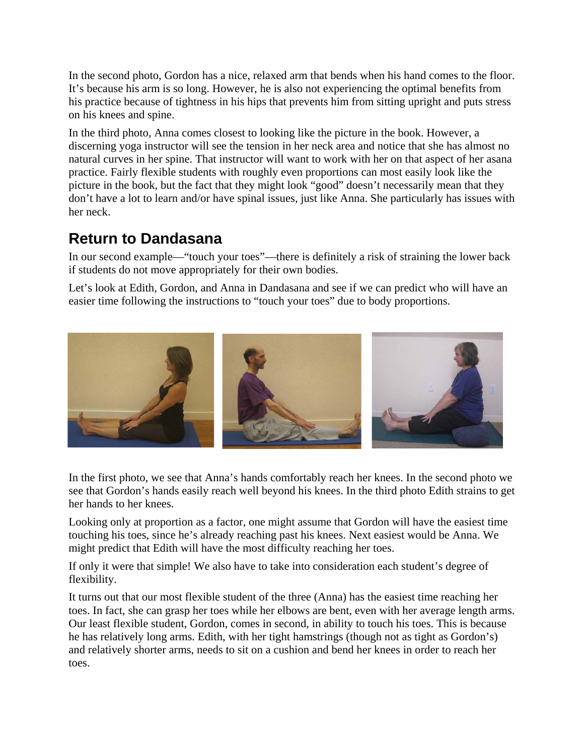In the second photo, Gordon has a nice, relaxed arm that bends when his hand comes to the floor. It's because his arm is so long. However, he is also not experiencing the optimal benefits from his practice because of tightness in his hips that prevents him from sitting upright and puts stress on his knees and spine.

In the third photo, Anna comes closest to looking like the picture in the book. However, a discerning yoga instructor will see the tension in her neck area and notice that she has almost no natural curves in her spine. That instructor will want to work with her on that aspect of her asana practice. Fairly flexible students with roughly even proportions can most easily look like the picture in the book, but the fact that they might look "good" doesn't necessarily mean that they don't have a lot to learn and/or have spinal issues, just like Anna. She particularly has issues with her neck.

### **Return to Dandasana**

In our second example—"touch your toes"—there is definitely a risk of straining the lower back if students do not move appropriately for their own bodies.

Let's look at Edith, Gordon, and Anna in Dandasana and see if we can predict who will have an easier time following the instructions to "touch your toes" due to body proportions.



In the first photo, we see that Anna's hands comfortably reach her knees. In the second photo we see that Gordon's hands easily reach well beyond his knees. In the third photo Edith strains to get her hands to her knees.

Looking only at proportion as a factor, one might assume that Gordon will have the easiest time touching his toes, since he's already reaching past his knees. Next easiest would be Anna. We might predict that Edith will have the most difficulty reaching her toes.

If only it were that simple! We also have to take into consideration each student's degree of flexibility.

It turns out that our most flexible student of the three (Anna) has the easiest time reaching her toes. In fact, she can grasp her toes while her elbows are bent, even with her average length arms. Our least flexible student, Gordon, comes in second, in ability to touch his toes. This is because he has relatively long arms. Edith, with her tight hamstrings (though not as tight as Gordon's) and relatively shorter arms, needs to sit on a cushion and bend her knees in order to reach her toes.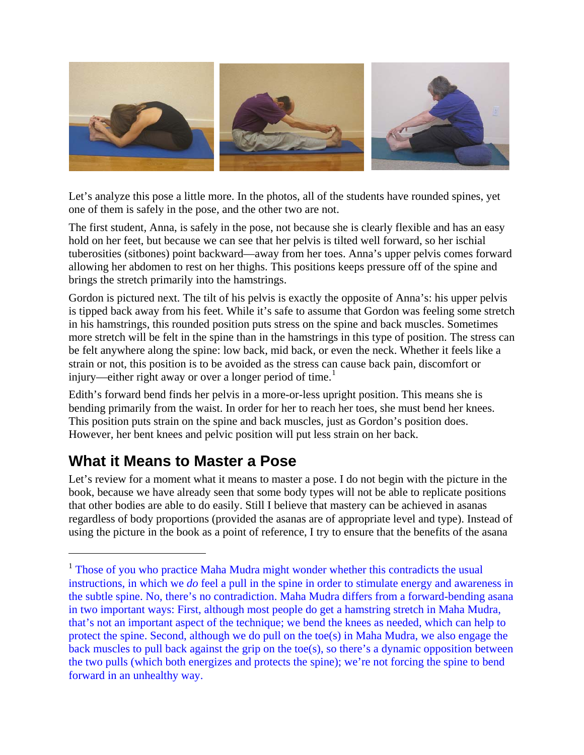

Let's analyze this pose a little more. In the photos, all of the students have rounded spines, yet one of them is safely in the pose, and the other two are not.

The first student, Anna, is safely in the pose, not because she is clearly flexible and has an easy hold on her feet, but because we can see that her pelvis is tilted well forward, so her ischial tuberosities (sitbones) point backward—away from her toes. Anna's upper pelvis comes forward allowing her abdomen to rest on her thighs. This positions keeps pressure off of the spine and brings the stretch primarily into the hamstrings.

Gordon is pictured next. The tilt of his pelvis is exactly the opposite of Anna's: his upper pelvis is tipped back away from his feet. While it's safe to assume that Gordon was feeling some stretch in his hamstrings, this rounded position puts stress on the spine and back muscles. Sometimes more stretch will be felt in the spine than in the hamstrings in this type of position. The stress can be felt anywhere along the spine: low back, mid back, or even the neck. Whether it feels like a strain or not, this position is to be avoided as the stress can cause back pain, discomfort or injury—either right away or over a longer period of time.<sup>[1](#page-3-0)</sup>

Edith's forward bend finds her pelvis in a more-or-less upright position. This means she is bending primarily from the waist. In order for her to reach her toes, she must bend her knees. This position puts strain on the spine and back muscles, just as Gordon's position does. However, her bent knees and pelvic position will put less strain on her back.

# **What it Means to Master a Pose**

 $\overline{a}$ 

Let's review for a moment what it means to master a pose. I do not begin with the picture in the book, because we have already seen that some body types will not be able to replicate positions that other bodies are able to do easily. Still I believe that mastery can be achieved in asanas regardless of body proportions (provided the asanas are of appropriate level and type). Instead of using the picture in the book as a point of reference, I try to ensure that the benefits of the asana

<span id="page-3-0"></span><sup>&</sup>lt;sup>1</sup> Those of you who practice Maha Mudra might wonder whether this contradicts the usual instructions, in which we *do* feel a pull in the spine in order to stimulate energy and awareness in the subtle spine. No, there's no contradiction. Maha Mudra differs from a forward-bending asana in two important ways: First, although most people do get a hamstring stretch in Maha Mudra, that's not an important aspect of the technique; we bend the knees as needed, which can help to protect the spine. Second, although we do pull on the toe(s) in Maha Mudra, we also engage the back muscles to pull back against the grip on the toe(s), so there's a dynamic opposition between the two pulls (which both energizes and protects the spine); we're not forcing the spine to bend forward in an unhealthy way.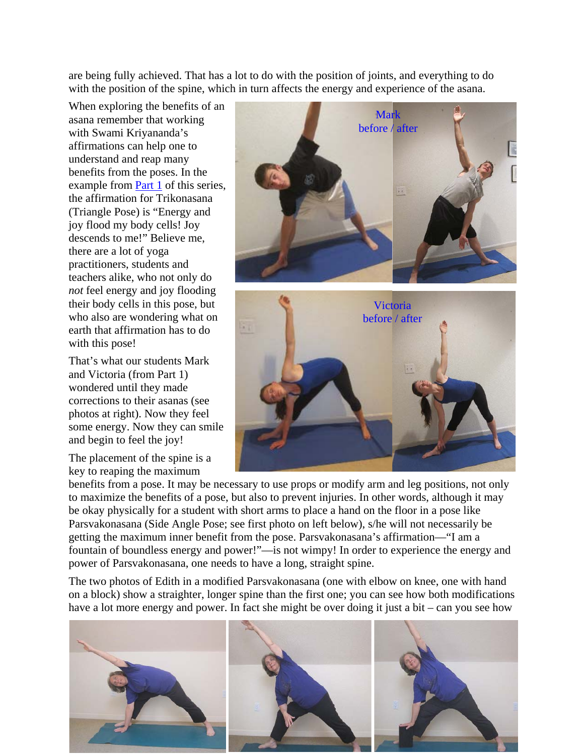are being fully achieved. That has a lot to do with the position of joints, and everything to do with the position of the spine, which in turn affects the energy and experience of the asana.

When exploring the benefits of an asana remember that working with Swami Kriyananda's affirmations can help one to understand and reap many benefits from the poses. In the example from **[Part 1](http://www.expandinglight.org/free/yoga-teacher/articles/general/helping-students-master-the-asanas.asp)** of this series, the affirmation for Trikona sana (Triangle Pose) is "Energy and joy flood my body cells! Joy descends to me!" Believe me , there are a lot of yoga practitioners, students and teachers alike, who not only do *not* feel energy and joy flooding their body cells in this pose, but who also are wondering what on earth that affirmation has to do with this pose!

That's what our students Mark and Victoria (from Part 1) wondered until they made corrections to their asanas (see photos at right). Now they feel some energy. Now they can smile and begin to feel the joy!

The placement of the spine is a key to reaping the maximum





benefits from a pose. It may be necessary to use props or modify arm and leg positions, not only to maximize the benefits of a pose, but also to prevent injuries. In other words, although it may be okay physically for a student with short arms to place a hand on the floor in a pose like Parsvakonasana (Side Angle Pose; see first photo on left below), s/he will not necessarily be getting the maximum inner benefit from the pose. Parsvakonasana's affirmation—"I am a fountain of boundless energy and power!"—is not wimpy! In order to experience the energy and power of Parsvakonasana, one needs to have a long, straight spine.

The two photos of Edith in a modified Parsvakonasana (one with elbow on knee, one with hand on a block) show a straighter, longer spine than the first one; you can see how both modifications have a lot more energy and power. In fact she might be over doing it just a bit – can you see how

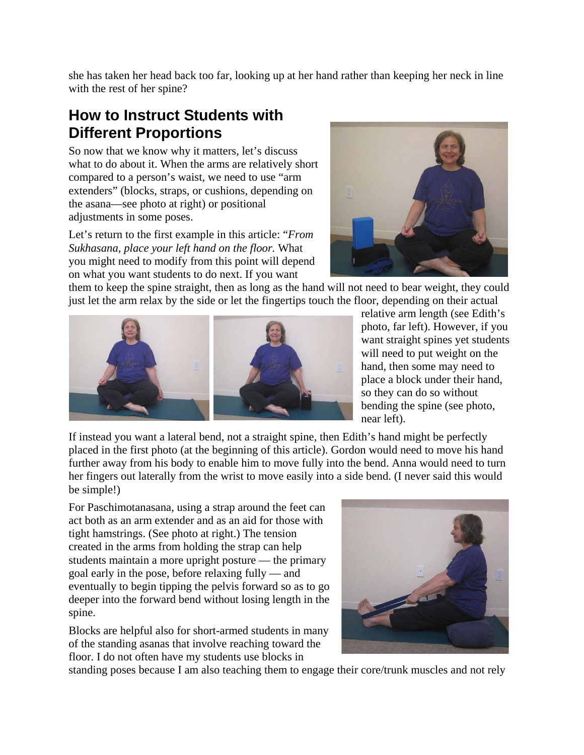she has taken her head back too far, looking up at her hand rather than keeping her neck in line with the rest of her spine?

# **How to Instruct Students with Different Proportions**

So now that we know why it matters, let's discuss what to do about it. When the arms are relatively short compared to a person's waist, we need to use "arm extenders" (blocks, straps, or cushions, depending on the asana—see photo at right) or positional adjustments in some poses.

Let's return to the first example in this article: "*From Sukhasana, place your left hand on the floor.* What you might need to modify from this point will depend on what you want students to do next. If you want



them to keep the spine straight, then as long as the hand will not need to bear weight, they could just let the arm relax by the side or let the fingertips touch the floor, depending on their actual



relative arm length (see Edith's photo, far left). However, if you want straight spines yet students will need to put weight on the hand, then some may need to place a block under their hand, so they can do so without bending the spine (see photo, near left).

If instead you want a lateral bend, not a straight spine, then Edith's hand might be perfectly placed in the first photo (at the beginning of this article). Gordon would need to move his hand further away from his body to enable him to move fully into the bend. Anna would need to turn her fingers out laterally from the wrist to move easily into a side bend. (I never said this would be simple!)

For Paschimotanasana, using a strap around the feet can act both as an arm extender and as an aid for those with tight hamstrings. (See photo at right.) The tension created in the arms from holding the strap can help students maintain a more upright posture — the primary goal early in the pose, before relaxing fully — and eventually to begin tipping the pelvis forward so as to g o deeper into the forward bend without losing length in the spine.

Blocks are helpful also for short-armed students in many of the standing asanas that involve reaching toward the floor. I do not often have my students use blocks in



standing poses because I am also teaching them to engage their core/trunk muscles and not rely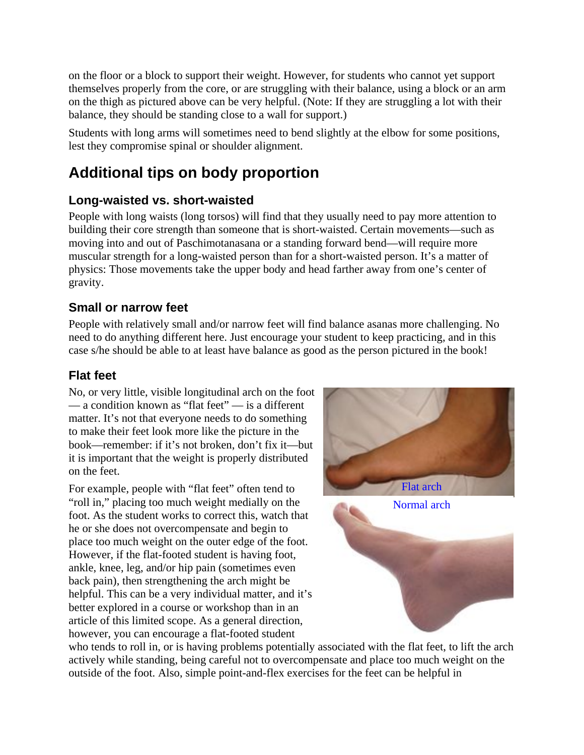on the floor or a block to support their weight. However, for students who cannot yet support themselves properly from the core, or are struggling with their balance, using a block or an arm on the thigh as pictured above can be very helpful. (Note: If they are struggling a lot with their balance, they should be standing close to a wall for support.)

Students with long arms will sometimes need to bend slightly at the elbow for some positions, lest they compromise spinal or shoulder alignment.

# **Additional tips on body proportion**

### **Long-waisted vs. short-waisted**

People with long waists (long torsos) will find that they usually need to pay more attention to building their core strength than someone that is short-waisted. Certain movements—such as moving into and out of Paschimotanasana or a standing forward bend—will require more muscular strength for a long-waisted person than for a short-waisted person. It's a matter of physics: Those movements take the upper body and head farther away from one's center of gravity.

#### **Small or narrow feet**

People with relatively small and/or narrow feet will find balance asanas more challenging. No need to do anything different here. Just encourage your student to keep practicing, and in this case s/he should be able to at least have balance as good as the person pictured in the book!

#### **Flat feet**

No, or very little, visible longitudinal arch on the f oot — a condition known as "flat feet" — is a differ ent matter. It's not that everyone needs to do something to make their feet look more like the picture in th e book—remember: if it's not broken, don't fix it—b ut it is important that the weight is properly distribut ed on the feet.

For example, people with "flat feet" often tend to "roll in," placing too much weight medially on the foot. As the student works to correct this, watch that he or she does not overcompensate and begin to place too much weight on the outer edge of the foot. However, if the flat-footed student is having foot, ankle, knee, leg, and/or hip pain (sometimes even back pain), then strengthening the arch might be helpful. This can be a very individual matter, and it's better explored in a course or workshop than in an article of this limited scope. As a general direction, however, you can encourage a flat-footed student



who tends to roll in, or is having problems potentially associated with the flat feet, to lift the arch actively while standing, being careful not to overcompensate and place too much weight on the outside of the foot. Also, simple point-and-flex exercises for the feet can be helpful in